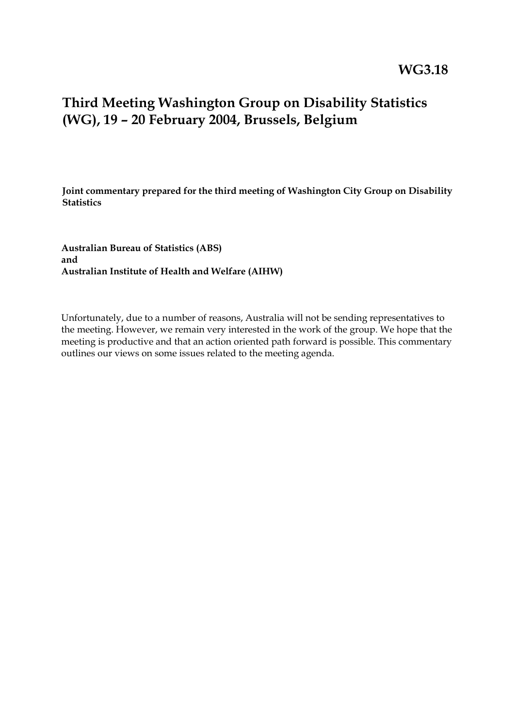## **Third Meeting Washington Group on Disability Statistics (WG), 19 – 20 February 2004, Brussels, Belgium**

**Joint commentary prepared for the third meeting of Washington City Group on Disability Statistics**

**Australian Bureau of Statistics (ABS) and Australian Institute of Health and Welfare (AIHW)**

Unfortunately, due to a number of reasons, Australia will not be sending representatives to the meeting. However, we remain very interested in the work of the group. We hope that the meeting is productive and that an action oriented path forward is possible. This commentary outlines our views on some issues related to the meeting agenda.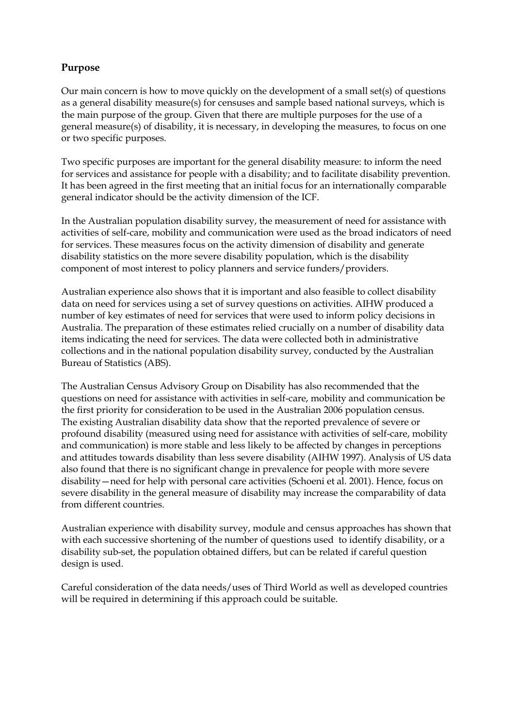## **Purpose**

Our main concern is how to move quickly on the development of a small set(s) of questions as a general disability measure(s) for censuses and sample based national surveys, which is the main purpose of the group. Given that there are multiple purposes for the use of a general measure(s) of disability, it is necessary, in developing the measures, to focus on one or two specific purposes.

Two specific purposes are important for the general disability measure: to inform the need for services and assistance for people with a disability; and to facilitate disability prevention. It has been agreed in the first meeting that an initial focus for an internationally comparable general indicator should be the activity dimension of the ICF.

In the Australian population disability survey, the measurement of need for assistance with activities of self-care, mobility and communication were used as the broad indicators of need for services. These measures focus on the activity dimension of disability and generate disability statistics on the more severe disability population, which is the disability component of most interest to policy planners and service funders/providers.

Australian experience also shows that it is important and also feasible to collect disability data on need for services using a set of survey questions on activities. AIHW produced a number of key estimates of need for services that were used to inform policy decisions in Australia. The preparation of these estimates relied crucially on a number of disability data items indicating the need for services. The data were collected both in administrative collections and in the national population disability survey, conducted by the Australian Bureau of Statistics (ABS).

The Australian Census Advisory Group on Disability has also recommended that the questions on need for assistance with activities in self-care, mobility and communication be the first priority for consideration to be used in the Australian 2006 population census. The existing Australian disability data show that the reported prevalence of severe or profound disability (measured using need for assistance with activities of self-care, mobility and communication) is more stable and less likely to be affected by changes in perceptions and attitudes towards disability than less severe disability (AIHW 1997). Analysis of US data also found that there is no significant change in prevalence for people with more severe disability—need for help with personal care activities (Schoeni et al. 2001). Hence, focus on severe disability in the general measure of disability may increase the comparability of data from different countries.

Australian experience with disability survey, module and census approaches has shown that with each successive shortening of the number of questions used to identify disability, or a disability sub-set, the population obtained differs, but can be related if careful question design is used.

Careful consideration of the data needs/uses of Third World as well as developed countries will be required in determining if this approach could be suitable.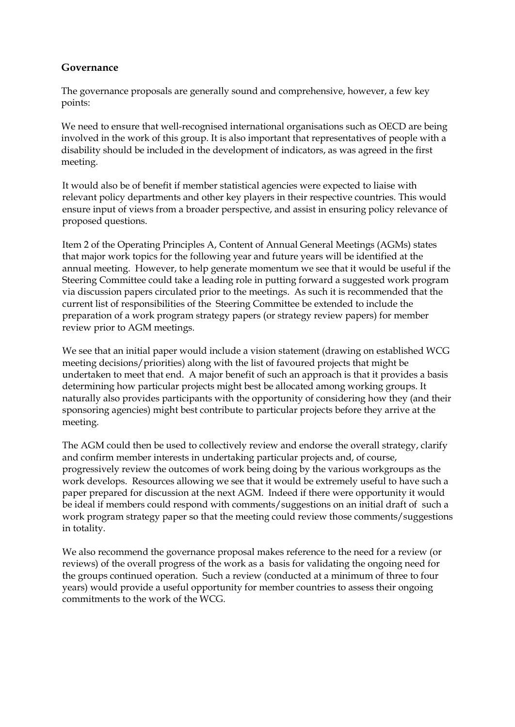## **Governance**

The governance proposals are generally sound and comprehensive, however, a few key points:

We need to ensure that well-recognised international organisations such as OECD are being involved in the work of this group. It is also important that representatives of people with a disability should be included in the development of indicators, as was agreed in the first meeting.

It would also be of benefit if member statistical agencies were expected to liaise with relevant policy departments and other key players in their respective countries. This would ensure input of views from a broader perspective, and assist in ensuring policy relevance of proposed questions.

Item 2 of the Operating Principles A, Content of Annual General Meetings (AGMs) states that major work topics for the following year and future years will be identified at the annual meeting. However, to help generate momentum we see that it would be useful if the Steering Committee could take a leading role in putting forward a suggested work program via discussion papers circulated prior to the meetings. As such it is recommended that the current list of responsibilities of the Steering Committee be extended to include the preparation of a work program strategy papers (or strategy review papers) for member review prior to AGM meetings.

We see that an initial paper would include a vision statement (drawing on established WCG meeting decisions/priorities) along with the list of favoured projects that might be undertaken to meet that end. A major benefit of such an approach is that it provides a basis determining how particular projects might best be allocated among working groups. It naturally also provides participants with the opportunity of considering how they (and their sponsoring agencies) might best contribute to particular projects before they arrive at the meeting.

The AGM could then be used to collectively review and endorse the overall strategy, clarify and confirm member interests in undertaking particular projects and, of course, progressively review the outcomes of work being doing by the various workgroups as the work develops. Resources allowing we see that it would be extremely useful to have such a paper prepared for discussion at the next AGM. Indeed if there were opportunity it would be ideal if members could respond with comments/suggestions on an initial draft of such a work program strategy paper so that the meeting could review those comments/suggestions in totality.

We also recommend the governance proposal makes reference to the need for a review (or reviews) of the overall progress of the work as a basis for validating the ongoing need for the groups continued operation. Such a review (conducted at a minimum of three to four years) would provide a useful opportunity for member countries to assess their ongoing commitments to the work of the WCG.